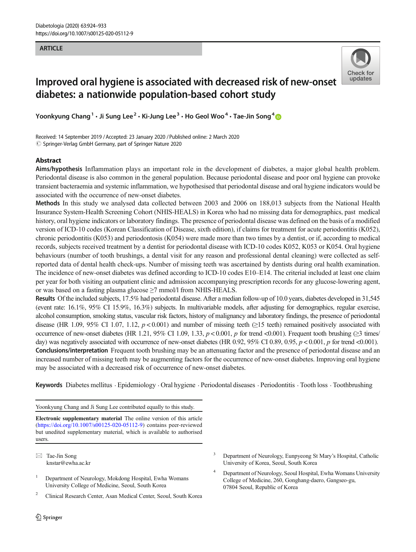#### **ARTICLE** ARTICLE



# Improved oral hygiene is associated with decreased risk of new-onset diabetes: a nationwide population-based cohort study

Yoonkyung Chang<sup>1</sup>  $\cdot$  Ji Sung Lee<sup>2</sup>  $\cdot$  Ki-Jung Lee<sup>3</sup>  $\cdot$  Ho Geol Woo<sup>4</sup>  $\cdot$  Tae-Jin Song<sup>4</sup>

Received: 14 September 2019 /Accepted: 23 January 2020 /Published online: 2 March 2020  $\oslash$  Springer-Verlag GmbH Germany, part of Springer Nature 2020

### Abstract

Aims/hypothesis Inflammation plays an important role in the development of diabetes, a major global health problem. Periodontal disease is also common in the general population. Because periodontal disease and poor oral hygiene can provoke transient bacteraemia and systemic inflammation, we hypothesised that periodontal disease and oral hygiene indicators would be associated with the occurrence of new-onset diabetes.

Methods In this study we analysed data collected between 2003 and 2006 on 188,013 subjects from the National Health Insurance System-Health Screening Cohort (NHIS-HEALS) in Korea who had no missing data for demographics, past medical history, oral hygiene indicators or laboratory findings. The presence of periodontal disease was defined on the basis of a modified version of ICD-10 codes (Korean Classification of Disease, sixth edition), if claims for treatment for acute periodontitis (K052), chronic periodontitis (K053) and periodontosis (K054) were made more than two times by a dentist, or if, according to medical records, subjects received treatment by a dentist for periodontal disease with ICD-10 codes K052, K053 or K054. Oral hygiene behaviours (number of tooth brushings, a dental visit for any reason and professional dental cleaning) were collected as selfreported data of dental health check-ups. Number of missing teeth was ascertained by dentists during oral health examination. The incidence of new-onset diabetes was defined according to ICD-10 codes E10–E14. The criterial included at least one claim per year for both visiting an outpatient clinic and admission accompanying prescription records for any glucose-lowering agent, or was based on a fasting plasma glucose ≥7 mmol/l from NHIS-HEALS.

Results Of the included subjects, 17.5% had periodontal disease. After a median follow-up of 10.0 years, diabetes developed in 31,545 (event rate: 16.1%, 95% CI 15.9%, 16.3%) subjects. In multivariable models, after adjusting for demographics, regular exercise, alcohol consumption, smoking status, vascular risk factors, history of malignancy and laboratory findings, the presence of periodontal disease (HR 1.09, 95% CI 1.07, 1.12,  $p < 0.001$ ) and number of missing teeth ( $\geq 15$  teeth) remained positively associated with occurrence of new-onset diabetes (HR 1.21, 95% CI 1.09, 1.33,  $p < 0.001$ , p for trend <0.001). Frequent tooth brushing ( $\geq 3$  times/ day) was negatively associated with occurrence of new-onset diabetes (HR 0.92, 95% CI 0.89, 0.95,  $p < 0.001$ , p for trend <0.001). Conclusions/interpretation Frequent tooth brushing may be an attenuating factor and the presence of periodontal disease and an increased number of missing teeth may be augmenting factors for the occurrence of new-onset diabetes. Improving oral hygiene may be associated with a decreased risk of occurrence of new-onset diabetes.

Keywords Diabetes mellitus . Epidemiology . Oral hygiene . Periodontal diseases . Periodontitis . Tooth loss . Toothbrushing

Yoonkyung Chang and Ji Sung Lee contributed equally to this study.

Electronic supplementary material The online version of this article (<https://doi.org/10.1007/s00125-020-05112-9>) contains peer-reviewed but unedited supplementary material, which is available to authorised users.

 $\boxtimes$  Tae-Jin Song [knstar@ewha.ac.kr](mailto:knstar@ewha.ac.kr)

- <sup>1</sup> Department of Neurology, Mokdong Hospital, Ewha Womans University College of Medicine, Seoul, South Korea
- <sup>2</sup> Clinical Research Center, Asan Medical Center, Seoul, South Korea
- <sup>3</sup> Department of Neurology, Eunpyeong St Mary's Hospital, Catholic University of Korea, Seoul, South Korea
- <sup>4</sup> Department of Neurology, Seoul Hospital, Ewha Womans University College of Medicine, 260, Gonghang-daero, Gangseo-gu, 07804 Seoul, Republic of Korea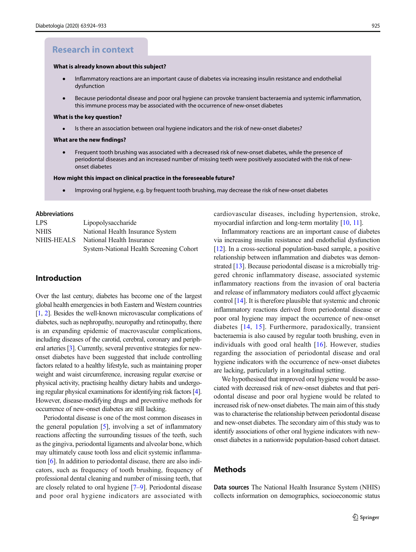# **Research in context**

#### **What is already known about this subject?**

- Inflammatory reactions are an important cause of diabetes via increasing insulin resistance and endothelial dysfunction
- Because periodontal disease and poor oral hygiene can provoke transient bacteraemia and systemic inflammation, this immune process may be associated with the occurrence of new-onset diabetes

#### **What is the key question?**

Is there an association between oral hygiene indicators and the risk of new-onset diabetes?  $\bullet$ 

#### **What are the new findings?**

Frequent tooth brushing was associated with a decreased risk of new-onset diabetes, while the presence of  $\bullet$ periodontal diseases and an increased number of missing teeth were positively associated with the risk of newonset diabetes

#### **How might this impact on clinical practice in the foreseeable future?**

Improving oral hygiene, e.g. by frequent tooth brushing, may decrease the risk of new-onset diabetes

#### Abbreviations

| LPS.        | Lipopolysaccharide                      |
|-------------|-----------------------------------------|
| <b>NHIS</b> | National Health Insurance System        |
| NHIS-HEALS  | National Health Insurance               |
|             | System-National Health Screening Cohort |

### Introduction

Over the last century, diabetes has become one of the largest global health emergencies in both Eastern and Western countries [\[1,](#page-8-0) [2\]](#page-8-0). Besides the well-known microvascular complications of diabetes, such as nephropathy, neuropathy and retinopathy, there is an expanding epidemic of macrovascular complications, including diseases of the carotid, cerebral, coronary and peripheral arteries [\[3\]](#page-8-0). Currently, several preventive strategies for newonset diabetes have been suggested that include controlling factors related to a healthy lifestyle, such as maintaining proper weight and waist circumference, increasing regular exercise or physical activity, practising healthy dietary habits and undergoing regular physical examinations for identifying risk factors [\[4\]](#page-8-0). However, disease-modifying drugs and preventive methods for occurrence of new-onset diabetes are still lacking.

Periodontal disease is one of the most common diseases in the general population [\[5\]](#page-8-0), involving a set of inflammatory reactions affecting the surrounding tissues of the teeth, such as the gingiva, periodontal ligaments and alveolar bone, which may ultimately cause tooth loss and elicit systemic inflammation [\[6](#page-8-0)]. In addition to periodontal disease, there are also indicators, such as frequency of tooth brushing, frequency of professional dental cleaning and number of missing teeth, that are closely related to oral hygiene [\[7](#page-8-0)–[9](#page-8-0)]. Periodontal disease and poor oral hygiene indicators are associated with

cardiovascular diseases, including hypertension, stroke, myocardial infarction and long-term mortality [[10](#page-8-0), [11\]](#page-8-0).

Inflammatory reactions are an important cause of diabetes via increasing insulin resistance and endothelial dysfunction [\[12](#page-8-0)]. In a cross-sectional population-based sample, a positive relationship between inflammation and diabetes was demonstrated [\[13\]](#page-8-0). Because periodontal disease is a microbially triggered chronic inflammatory disease, associated systemic inflammatory reactions from the invasion of oral bacteria and release of inflammatory mediators could affect glycaemic control [[14\]](#page-8-0). It is therefore plausible that systemic and chronic inflammatory reactions derived from periodontal disease or poor oral hygiene may impact the occurrence of new-onset diabetes [[14,](#page-8-0) [15\]](#page-8-0). Furthermore, paradoxically, transient bacteraemia is also caused by regular tooth brushing, even in individuals with good oral health [[16](#page-8-0)]. However, studies regarding the association of periodontal disease and oral hygiene indicators with the occurrence of new-onset diabetes are lacking, particularly in a longitudinal setting.

We hypothesised that improved oral hygiene would be associated with decreased risk of new-onset diabetes and that periodontal disease and poor oral hygiene would be related to increased risk of new-onset diabetes. The main aim of this study was to characterise the relationship between periodontal disease and new-onset diabetes. The secondary aim of this study was to identify associations of other oral hygiene indicators with newonset diabetes in a nationwide population-based cohort dataset.

### **Methods**

Data sources The National Health Insurance System (NHIS) collects information on demographics, socioeconomic status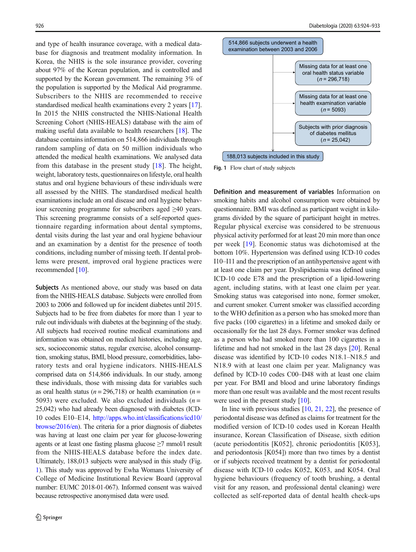and type of health insurance coverage, with a medical database for diagnosis and treatment modality information. In Korea, the NHIS is the sole insurance provider, covering about 97% of the Korean population, and is controlled and supported by the Korean government. The remaining 3% of the population is supported by the Medical Aid programme. Subscribers to the NHIS are recommended to receive standardised medical health examinations every 2 years [[17\]](#page-8-0). In 2015 the NHIS constructed the NHIS-National Health Screening Cohort (NHIS-HEALS) database with the aim of making useful data available to health researchers [\[18](#page-8-0)]. The database contains information on 514,866 individuals through random sampling of data on 50 million individuals who attended the medical health examinations. We analysed data from this database in the present study [[18\]](#page-8-0). The height, weight, laboratory tests, questionnaires on lifestyle, oral health status and oral hygiene behaviours of these individuals were all assessed by the NHIS. The standardised medical health examinations include an oral disease and oral hygiene behaviour screening programme for subscribers aged ≥40 years. This screening programme consists of a self-reported questionnaire regarding information about dental symptoms, dental visits during the last year and oral hygiene behaviour and an examination by a dentist for the presence of tooth conditions, including number of missing teeth. If dental problems were present, improved oral hygiene practices were recommended [[10\]](#page-8-0).

Subjects As mentioned above, our study was based on data from the NHIS-HEALS database. Subjects were enrolled from 2003 to 2006 and followed up for incident diabetes until 2015. Subjects had to be free from diabetes for more than 1 year to rule out individuals with diabetes at the beginning of the study. All subjects had received routine medical examinations and information was obtained on medical histories, including age, sex, socioeconomic status, regular exercise, alcohol consumption, smoking status, BMI, blood pressure, comorbidities, laboratory tests and oral hygiene indicators. NHIS-HEALS comprised data on 514,866 individuals. In our study, among these individuals, those with missing data for variables such as oral health status ( $n = 296,718$ ) or health examination ( $n =$ 5093) were excluded. We also excluded individuals  $(n =$ 25,042) who had already been diagnosed with diabetes (ICD-10 codes E10–E14, [http://apps.who.int/classifications/icd10/](http://apps.who.int/classifications/icd10/browse/2016/en) [browse/2016/en\)](http://apps.who.int/classifications/icd10/browse/2016/en). The criteria for a prior diagnosis of diabetes was having at least one claim per year for glucose-lowering agents or at least one fasting plasma glucose ≥7 mmol/l result from the NHIS-HEALS database before the index date. Ultimately, 188,013 subjects were analysed in this study (Fig. 1). This study was approved by Ewha Womans University of College of Medicine Institutional Review Board (approval number: EUMC 2018-01-067). Informed consent was waived because retrospective anonymised data were used.



Fig. 1 Flow chart of study subjects

Definition and measurement of variables Information on smoking habits and alcohol consumption were obtained by questionnaire. BMI was defined as participant weight in kilograms divided by the square of participant height in metres. Regular physical exercise was considered to be strenuous physical activity performed for at least 20 min more than once per week [\[19\]](#page-8-0). Economic status was dichotomised at the bottom 10%. Hypertension was defined using ICD-10 codes I10–I11 and the prescription of an antihypertensive agent with at least one claim per year. Dyslipidaemia was defined using ICD-10 code E78 and the prescription of a lipid-lowering agent, including statins, with at least one claim per year. Smoking status was categorised into none, former smoker, and current smoker. Current smoker was classified according to the WHO definition as a person who has smoked more than five packs (100 cigarettes) in a lifetime and smoked daily or occasionally for the last 28 days. Former smoker was defined as a person who had smoked more than 100 cigarettes in a lifetime and had not smoked in the last 28 days [\[20\]](#page-8-0). Renal disease was identified by ICD-10 codes N18.1–N18.5 and N18.9 with at least one claim per year. Malignancy was defined by ICD-10 codes C00–D48 with at least one claim per year. For BMI and blood and urine laboratory findings more than one result was available and the most recent results were used in the present study [\[10\]](#page-8-0).

In line with previous studies  $[10, 21, 22]$  $[10, 21, 22]$  $[10, 21, 22]$  $[10, 21, 22]$  $[10, 21, 22]$  $[10, 21, 22]$ , the presence of periodontal disease was defined as claims for treatment for the modified version of ICD-10 codes used in Korean Health insurance, Korean Classification of Disease, sixth edition (acute periodontitis [K052], chronic periodontitis [K053], and periodontosis [K054]) more than two times by a dentist or if subjects received treatment by a dentist for periodontal disease with ICD-10 codes K052, K053, and K054. Oral hygiene behaviours (frequency of tooth brushing, a dental visit for any reason, and professional dental cleaning) were collected as self-reported data of dental health check-ups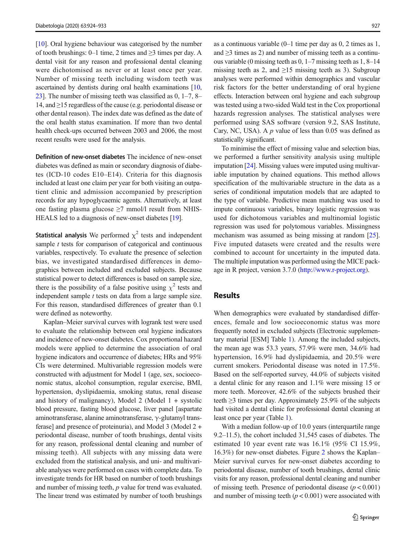[\[10\]](#page-8-0). Oral hygiene behaviour was categorised by the number of tooth brushings: 0–1 time, 2 times and  $\geq$ 3 times per day. A dental visit for any reason and professional dental cleaning were dichotomised as never or at least once per year. Number of missing teeth including wisdom teeth was ascertained by dentists during oral health examinations [[10,](#page-8-0) [23\]](#page-8-0). The number of missing teeth was classified as 0, 1–7, 8– 14, and ≥15 regardless of the cause (e.g. periodontal disease or other dental reason). The index date was defined as the date of the oral health status examination. If more than two dental health check-ups occurred between 2003 and 2006, the most recent results were used for the analysis.

Definition of new-onset diabetes The incidence of new-onset diabetes was defined as main or secondary diagnosis of diabetes (ICD-10 codes E10–E14). Criteria for this diagnosis included at least one claim per year for both visiting an outpatient clinic and admission accompanied by prescription records for any hypoglycaemic agents. Alternatively, at least one fasting plasma glucose  $\geq$ 7 mmol/l result from NHIS-HEALS led to a diagnosis of new-onset diabetes [\[19](#page-8-0)].

**Statistical analysis** We performed  $\chi^2$  tests and independent sample *t* tests for comparison of categorical and continuous variables, respectively. To evaluate the presence of selection bias, we investigated standardised differences in demographics between included and excluded subjects. Because statistical power to detect differences is based on sample size, there is the possibility of a false positive using  $\chi^2$  tests and independent sample  $t$  tests on data from a large sample size. For this reason, standardised differences of greater than 0.1 were defined as noteworthy.

Kaplan–Meier survival curves with logrank test were used to evaluate the relationship between oral hygiene indicators and incidence of new-onset diabetes. Cox proportional hazard models were applied to determine the association of oral hygiene indicators and occurrence of diabetes; HRs and 95% CIs were determined. Multivariable regression models were constructed with adjustment for Model 1 (age, sex, socioeconomic status, alcohol consumption, regular exercise, BMI, hypertension, dyslipidaemia, smoking status, renal disease and history of malignancy), Model 2 (Model  $1 +$  systolic blood pressure, fasting blood glucose, liver panel [aspartate aminotransferase, alanine aminotransferase, γ-glutamyl transferase] and presence of proteinuria), and Model 3 (Model 2 + periodontal disease, number of tooth brushings, dental visits for any reason, professional dental cleaning and number of missing teeth). All subjects with any missing data were excluded from the statistical analysis, and uni- and multivariable analyses were performed on cases with complete data. To investigate trends for HR based on number of tooth brushings and number of missing teeth, p value for trend was evaluated. The linear trend was estimated by number of tooth brushings

as a continuous variable (0–1 time per day as 0, 2 times as 1, and  $\geq$ 3 times as 2) and number of missing teeth as a continuous variable (0 missing teeth as 0, 1–7 missing teeth as 1, 8–14 missing teeth as 2, and  $\geq 15$  missing teeth as 3). Subgroup analyses were performed within demographics and vascular risk factors for the better understanding of oral hygiene effects. Interaction between oral hygiene and each subgroup was tested using a two-sided Wald test in the Cox proportional hazards regression analyses. The statistical analyses were performed using SAS software (version 9.2, SAS Institute, Cary, NC, USA). A  $p$  value of less than 0.05 was defined as statistically significant.

To minimise the effect of missing value and selection bias, we performed a further sensitivity analysis using multiple imputation [\[24](#page-8-0)]. Missing values were imputed using multivariable imputation by chained equations. This method allows specification of the multivariable structure in the data as a series of conditional imputation models that are adapted to the type of variable. Predictive mean matching was used to impute continuous variables, binary logistic regression was used for dichotomous variables and multinomial logistic regression was used for polytomous variables. Missingness mechanism was assumed as being missing at random [[25\]](#page-8-0). Five imputed datasets were created and the results were combined to account for uncertainty in the imputed data. The multiple imputation was performed using the MICE package in R project, version 3.7.0 ([http://www.r-project.org\)](http://www.r-project.org).

### Results

When demographics were evaluated by standardised differences, female and low socioeconomic status was more frequently noted in excluded subjects (Electronic supplementary material [ESM] Table 1). Among the included subjects, the mean age was 53.3 years, 57.9% were men, 34.6% had hypertension, 16.9% had dyslipidaemia, and 20.5% were current smokers. Periodontal disease was noted in 17.5%. Based on the self-reported survey, 44.0% of subjects visited a dental clinic for any reason and 1.1% were missing 15 or more teeth. Moreover, 42.6% of the subjects brushed their teeth  $\geq$ 3 times per day. Approximately 25.9% of the subjects had visited a dental clinic for professional dental cleaning at least once per year (Table [1\)](#page-4-0).

With a median follow-up of 10.0 years (interquartile range 9.2–11.5), the cohort included 31,545 cases of diabetes. The estimated 10 year event rate was 16.1% (95% CI 15.9%, 16.3%) for new-onset diabetes. Figure [2](#page-5-0) shows the Kaplan– Meier survival curves for new-onset diabetes according to periodontal disease, number of tooth brushings, dental clinic visits for any reason, professional dental cleaning and number of missing teeth. Presence of periodontal disease  $(p < 0.001)$ and number of missing teeth  $(p < 0.001)$  were associated with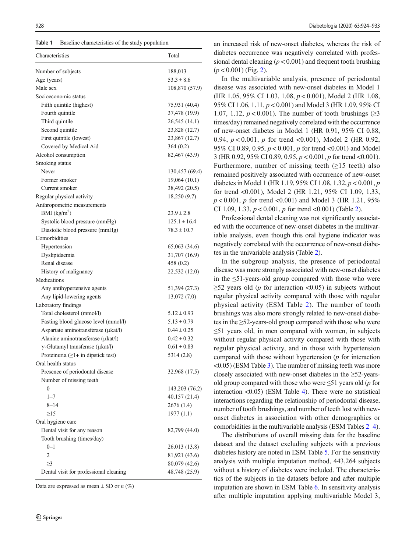<span id="page-4-0"></span>Table 1 Baseline characteristics of the study population

| Characteristics                                                                 | Total                                                            |
|---------------------------------------------------------------------------------|------------------------------------------------------------------|
| Number of subjects                                                              | 188,013                                                          |
| Age (years)                                                                     | $53.3 \pm 8.6$                                                   |
| Male sex                                                                        | 108,870 (57.9)                                                   |
| Socioeconomic status                                                            |                                                                  |
| Fifth quintile (highest)                                                        | 75,931 (40.4)                                                    |
| Fourth quintile                                                                 | 37,478 (19.9)                                                    |
| Third quintile                                                                  | 26,545 (14.1)                                                    |
| Second quintile                                                                 | 23,828 (12.7)                                                    |
| First quintile (lowest)                                                         | 23,867 (12.7)                                                    |
| Covered by Medical Aid                                                          | 364(0.2)                                                         |
| Alcohol consumption                                                             | 82,467 (43.9)                                                    |
| Smoking status                                                                  |                                                                  |
| Never                                                                           | 130,457 (69.4)                                                   |
| Former smoker                                                                   | 19,064(10.1)                                                     |
| Current smoker                                                                  | 38,492 (20.5)                                                    |
| Regular physical activity                                                       | 18,250 (9.7)                                                     |
| Anthropometric measurements                                                     |                                                                  |
| BMI $(kg/m2)$                                                                   | $23.9 \pm 2.8$                                                   |
| Systolic blood pressure (mmHg)                                                  | $125.1 \pm 16.4$                                                 |
| Diastolic blood pressure (mmHg)                                                 | $78.3 \pm 10.7$                                                  |
| Comorbidities                                                                   |                                                                  |
| Hypertension                                                                    | 65,063 (34.6)                                                    |
| Dyslipidaemia                                                                   | 31,707 (16.9)                                                    |
| Renal disease                                                                   | 458 (0.2)                                                        |
| History of malignancy                                                           | 22,532 (12.0)                                                    |
| Medications                                                                     |                                                                  |
| Any antihypertensive agents                                                     | 51,394 (27.3)                                                    |
| Any lipid-lowering agents                                                       | 13,072(7.0)                                                      |
| Laboratory findings                                                             |                                                                  |
| Total cholesterol (mmol/l)                                                      | $5.12 \pm 0.93$                                                  |
| Fasting blood glucose level (mmol/l)                                            | $5.13 \pm 0.79$                                                  |
| Aspartate aminotransferase (µkat/l)                                             | $0.44 \pm 0.25$                                                  |
| Alanine aminotransferase (µkat/l)                                               | $0.42 \pm 0.32$                                                  |
| $\gamma$ -Glutamyl transferase (µkat/l)                                         | $0.61 \pm 0.83$                                                  |
| Proteinuria $(≥1+$ in dipstick test)                                            | 5314 (2.8)                                                       |
| Oral health status                                                              |                                                                  |
| Presence of periodontal disease                                                 | 32,968 (17.5)                                                    |
| Number of missing teeth                                                         |                                                                  |
| $\boldsymbol{0}$                                                                | 143,203 (76.2)                                                   |
| $1 - 7$                                                                         | 40,157 (21.4)                                                    |
| $8 - 14$                                                                        | 2676 (1.4)                                                       |
| $\geq$ 15                                                                       | 1977(1.1)                                                        |
| Oral hygiene care                                                               |                                                                  |
| Dental visit for any reason                                                     | 82,799 (44.0)                                                    |
| Tooth brushing (times/day)                                                      |                                                                  |
|                                                                                 |                                                                  |
|                                                                                 |                                                                  |
|                                                                                 |                                                                  |
|                                                                                 |                                                                  |
| $0 - 1$<br>$\overline{2}$<br>$\geq$ 3<br>Dental visit for professional cleaning | 26,013 (13.8)<br>81,921 (43.6)<br>80,079 (42.6)<br>48,748 (25.9) |

Data are expressed as mean  $\pm$  SD or *n* (%)

an increased risk of new-onset diabetes, whereas the risk of diabetes occurrence was negatively correlated with professional dental cleaning ( $p < 0.001$ ) and frequent tooth brushing  $(p < 0.001)$  (Fig. [2](#page-5-0)).

In the multivariable analysis, presence of periodontal disease was associated with new-onset diabetes in Model 1 (HR 1.05, 95% CI 1.03, 1.08, p < 0.001), Model 2 (HR 1.08, 95% CI 1.06, 1.11, p < 0.001) and Model 3 (HR 1.09, 95% CI 1.07, 1.12,  $p < 0.001$ ). The number of tooth brushings ( $\geq 3$ ) times/day) remained negatively correlated with the occurrence of new-onset diabetes in Model 1 (HR 0.91, 95% CI 0.88, 0.94,  $p < 0.001$ , p for trend <0.001), Model 2 (HR 0.92, 95% CI 0.89, 0.95, p < 0.001, p for trend <0.001) and Model 3 (HR 0.92, 95% CI 0.89, 0.95,  $p < 0.001$ , p for trend <0.001). Furthermore, number of missing teeth  $(\geq 15$  teeth) also remained positively associated with occurrence of new-onset diabetes in Model 1 (HR 1.19, 95% CI 1.08, 1.32,  $p < 0.001$ ,  $p$ for trend <0.001), Model 2 (HR 1.21, 95% CI 1.09, 1.33,  $p < 0.001$ , p for trend <0.001) and Model 3 (HR 1.21, 95%) CI 1.09, 1.33,  $p < 0.001$ ,  $p$  for trend <0.001) (Table [2](#page-6-0)).

Professional dental cleaning was not significantly associated with the occurrence of new-onset diabetes in the multivariable analysis, even though this oral hygiene indicator was negatively correlated with the occurrence of new-onset diabetes in the univariable analysis (Table [2\)](#page-6-0).

In the subgroup analysis, the presence of periodontal disease was more strongly associated with new-onset diabetes in the  $\leq 51$ -years-old group compared with those who were  $\geq$ 52 years old (*p* for interaction <0.05) in subjects without regular physical activity compared with those with regular physical activity (ESM Table 2). The number of tooth brushings was also more strongly related to new-onset diabetes in the ≥52-years-old group compared with those who were  $\leq$ 51 years old, in men compared with women, in subjects without regular physical activity compared with those with regular physical activity, and in those with hypertension compared with those without hypertension  $(p$  for interaction  $\leq$ 0.05) (ESM Table 3). The number of missing teeth was more closely associated with new-onset diabetes in the  $\geq$ 52-yearsold group compared with those who were  $\leq 51$  years old (p for interaction <0.05) (ESM Table 4). There were no statistical interactions regarding the relationship of periodontal disease, number of tooth brushings, and number of teeth lost with newonset diabetes in association with other demographics or comorbidities in the multivariable analysis (ESM Tables 2–4).

The distributions of overall missing data for the baseline dataset and the dataset excluding subjects with a previous diabetes history are noted in ESM Table 5. For the sensitivity analysis with multiple imputation method, 443,264 subjects without a history of diabetes were included. The characteristics of the subjects in the datasets before and after multiple imputation are shown in ESM Table 6. In sensitivity analysis after multiple imputation applying multivariable Model 3,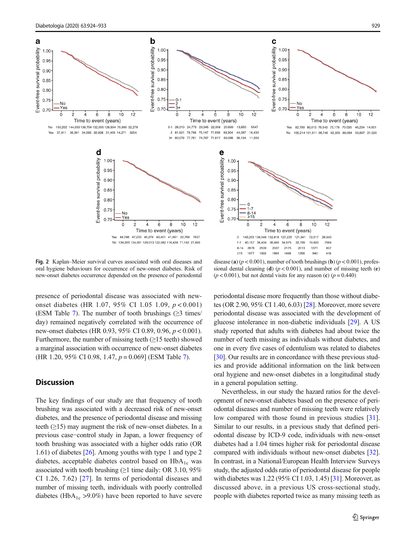<span id="page-5-0"></span>

Fig. 2 Kaplan–Meier survival curves associated with oral diseases and oral hygiene behaviours for occurrence of new-onset diabetes. Risk of new-onset diabetes occurrence depended on the presence of periodontal

disease (a)  $(p < 0.001)$ , number of tooth brushings (b)  $(p < 0.001)$ , professional dental cleaning (d)  $(p < 0.001)$ , and number of missing teeth (e)  $(p < 0.001)$ , but not dental visits for any reason (c)  $(p = 0.440)$ 

presence of periodontal disease was associated with newonset diabetes (HR 1.07, 95% CI 1.05 1.09, p < 0.001) (ESM Table 7). The number of tooth brushings  $(\geq 3 \text{ times}/$ day) remained negatively correlated with the occurrence of new-onset diabetes (HR 0.93, 95% CI 0.89, 0.96, p < 0.001). Furthermore, the number of missing teeth  $(≥15$  teeth) showed a marginal association with occurrence of new-onset diabetes (HR 1.20, 95% CI 0.98, 1.47,  $p = 0.069$ ] (ESM Table 7).

## **Discussion**

The key findings of our study are that frequency of tooth brushing was associated with a decreased risk of new-onset diabetes, and the presence of periodontal disease and missing teeth  $(\geq 15)$  may augment the risk of new-onset diabetes. In a previous case−control study in Japan, a lower frequency of tooth brushing was associated with a higher odds ratio (OR 1.61) of diabetes [\[26\]](#page-8-0). Among youths with type 1 and type 2 diabetes, acceptable diabetes control based on  $HbA_{1c}$  was associated with tooth brushing ( $\geq$ 1 time daily: OR 3.10, 95% CI 1.26, 7.62) [\[27\]](#page-8-0). In terms of periodontal diseases and number of missing teeth, individuals with poorly controlled diabetes (HbA<sub>1c</sub> >9.0%) have been reported to have severe periodontal disease more frequently than those without diabetes (OR 2.90, 95% CI 1.40, 6.03) [[28\]](#page-8-0). Moreover, more severe periodontal disease was associated with the development of glucose intolerance in non-diabetic individuals [\[29](#page-8-0)]. A US study reported that adults with diabetes had about twice the number of teeth missing as individuals without diabetes, and one in every five cases of edentulism was related to diabetes [\[30](#page-8-0)]. Our results are in concordance with these previous studies and provide additional information on the link between oral hygiene and new-onset diabetes in a longitudinal study in a general population setting.

Nevertheless, in our study the hazard ratios for the development of new-onset diabetes based on the presence of periodontal diseases and number of missing teeth were relatively low compared with those found in previous studies [\[31](#page-9-0)]. Similar to our results, in a previous study that defined periodontal disease by ICD-9 code, individuals with new-onset diabetes had a 1.04 times higher risk for periodontal disease compared with individuals without new-onset diabetes [[32\]](#page-9-0). In contrast, in a National/European Health Interview Surveys study, the adjusted odds ratio of periodontal disease for people with diabetes was 1.22 (95% CI 1.03, 1.45) [[31](#page-9-0)]. Moreover, as discussed above, in a previous US cross-sectional study, people with diabetes reported twice as many missing teeth as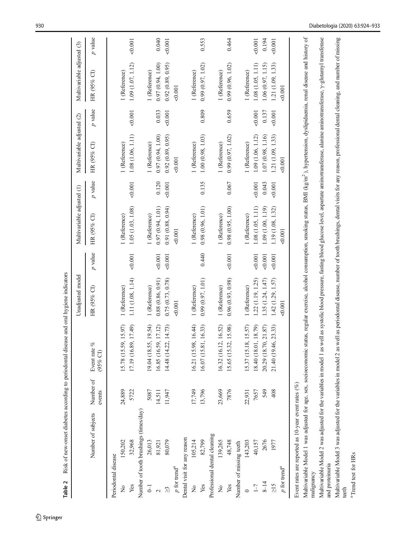<span id="page-6-0"></span>

| Table 2                                 |                                                                |                     | Risk of new-onset diabetes according to periodontal disease and oral hygiene indicators                                                                                                                               |                   |           |                                                                                                                                                    |         |                            |           |                            |           |
|-----------------------------------------|----------------------------------------------------------------|---------------------|-----------------------------------------------------------------------------------------------------------------------------------------------------------------------------------------------------------------------|-------------------|-----------|----------------------------------------------------------------------------------------------------------------------------------------------------|---------|----------------------------|-----------|----------------------------|-----------|
|                                         |                                                                |                     |                                                                                                                                                                                                                       | Unadjusted model  |           | Multivariable adjusted (1)                                                                                                                         |         | Multivariable adjusted (2) |           | Multivariable adjusted (3) |           |
|                                         | Number of subjects                                             | Number of<br>events | oz<br>Event rate<br>$(95\% \text{ Cl})$                                                                                                                                                                               | HR (95% CI)       | $p$ value | HR (95% CI)                                                                                                                                        | p value | HR (95% CI)                | $p$ value | HR (95% CI)                | $p$ value |
| Periodontal disease                     |                                                                |                     |                                                                                                                                                                                                                       |                   |           |                                                                                                                                                    |         |                            |           |                            |           |
| ż                                       | 150,202                                                        | 24,889              | 15.78 (15.59, 15.97)                                                                                                                                                                                                  | 1 (Reference)     |           | 1 (Reference)                                                                                                                                      |         | 1 (Reference)              |           | 1 (Reference)              |           |
| Yes                                     | 32,968                                                         | 5722                | 17.19 (16.89, 17.49)                                                                                                                                                                                                  | 1.11 (1.08, 1.14) | 0.001     | 1.05 (1.03, 1.08)                                                                                                                                  | 0.001   | 1.08 (1.06, 1.11)          | 0.001     | 1.09 (1.07, 1.12)          | 0.001     |
|                                         | Number of tooth brushings (times/day)                          |                     |                                                                                                                                                                                                                       |                   |           |                                                                                                                                                    |         |                            |           |                            |           |
| $\overline{\cup}$                       | 26,013                                                         | 5087                | 19.04 (18.55, 19.54)                                                                                                                                                                                                  | l (Reference)     |           | 1 (Reference)                                                                                                                                      |         | 1 (Reference)              |           | 1 (Reference)              |           |
| $\overline{\mathcal{C}}$                | 81,921                                                         | 14,511              | 16.85 (16.59, 17.12)                                                                                                                                                                                                  | 0.88(0.86, 0.91)  | 0.001     | 0.97(0.94, 1.01)                                                                                                                                   | 0.120   | 0.97(0.94, 1.00)           | 0.033     | 0.97(0.94, 1.00)           | 0.040     |
| $\approx$                               | 80,079                                                         | 11,947              | 14.48 (14.22, 14.73)                                                                                                                                                                                                  | 0.75 (0.73, 0.78) | 0.001     | 0.91(0.88, 0.94)                                                                                                                                   | 0.001   | 0.92(0.89, 0.95)           | 0.001     | 0.92(0.89, 0.95)           | 0.001     |
| $\boldsymbol{p}$ for trend <sup>a</sup> |                                                                |                     |                                                                                                                                                                                                                       | <0.001            |           | 0.001                                                                                                                                              |         | 0.001                      |           | 0.001                      |           |
| Dental visit for any reason             |                                                                |                     |                                                                                                                                                                                                                       |                   |           |                                                                                                                                                    |         |                            |           |                            |           |
| $\tilde{z}$                             | 105,214                                                        | 17,749              | 16.21 (15.98, 16.44)                                                                                                                                                                                                  | 1 (Reference)     |           | 1 (Reference)                                                                                                                                      |         | 1 (Reference)              |           | l (Reference)              |           |
| Yes                                     | 82,799                                                         | 13,796              | 16.07 (15.81, 16.33)                                                                                                                                                                                                  | 0.99(0.97, 1.01)  | 0.440     | 0.98(0.96, 1.01)                                                                                                                                   | 0.135   | 1.00(0.98, 1.03)           | 0.809     | 0.99(0.97, 1.02)           | 0.553     |
|                                         | Professional dental cleaning                                   |                     |                                                                                                                                                                                                                       |                   |           |                                                                                                                                                    |         |                            |           |                            |           |
| $\tilde{z}$                             | 139,265                                                        | 23,669              | 16.32 (16.12, 16.52)                                                                                                                                                                                                  | 1 (Reference)     |           | 1 (Reference)                                                                                                                                      |         | 1 (Reference)              |           | 1 (Reference)              |           |
| Yes                                     | 48,748                                                         | 7876                | 15.65 (15.32, 15.98)                                                                                                                                                                                                  | 0.96(0.93, 0.98)  | 0.001     | 0.98(0.95, 1.00)                                                                                                                                   | 0.067   | 0.99 (0.97, 1.02)          | 0.659     | 0.99(0.96, 1.02)           | 0.464     |
| Number of missing teeth                 |                                                                |                     |                                                                                                                                                                                                                       |                   |           |                                                                                                                                                    |         |                            |           |                            |           |
| $\circ$                                 | 143,203                                                        | 22,931              | 15.37 (15.18, 15.57)                                                                                                                                                                                                  | (Reference)       |           | (Reference)                                                                                                                                        |         | l (Reference)              |           | l (Reference)              |           |
| $1 - 7$                                 | 40,157                                                         | 7657                | 18.40 (18.01, 18.79)                                                                                                                                                                                                  | 1.22(1.19, 1.25)  | 0.001     | 1.08 (1.05, 1.11)                                                                                                                                  | 0.001   | 1.09 (1.06, 1.12)          | 0.001     | 1.08 (1.05, 1.11)          | 0.001     |
| $8 - 14$                                | 2676                                                           | 549                 | 20.29 (18.70, 21.87)                                                                                                                                                                                                  | 1.35(1.24, 1.47)  | 0.001     | 1.09(1.00, 1.19)                                                                                                                                   | 0.043   | 1.07(0.98, 1.16)           | 0.137     | 1.06(0.97, 1.15)           | 0.194     |
| $\frac{5}{2}$                           | 1977                                                           | 408                 | 21.40 (19.46, 23.33)                                                                                                                                                                                                  | 1.42 (1.29, 1.57) | 0.001     | 1.19 (1.08, 1.32)                                                                                                                                  | 0.001   | 1.21 (1.09, 1.33)          | 0.001     | 1.21 (1.09, 1.33)          | 0.001     |
| $p$ for trend <sup>a</sup>              |                                                                |                     |                                                                                                                                                                                                                       | 0.001             |           | 0.001                                                                                                                                              |         | 0.001                      |           | &0.001                     |           |
|                                         | Event rates are reported as 10-year event rates $(\%$          |                     |                                                                                                                                                                                                                       |                   |           |                                                                                                                                                    |         |                            |           |                            |           |
| malignancy                              | Multivariable Model 1 was adjusted for age, sex, socioeconomic |                     |                                                                                                                                                                                                                       |                   |           | status, regular exercise, alcohol consumption, smoking status, BMI (kg/m <sup>2</sup> ), hypertension, dyslipidaemia, renal disease and history of |         |                            |           |                            |           |
| and proteinuria                         |                                                                |                     | Multivariable Model 2 was adjusted for the variables in model 1 as well as systolic blood pressure, fasting blood glucose level, aspartate aminotransferase, alanine aminotransferase, $\gamma$ -glutamyl transferase |                   |           |                                                                                                                                                    |         |                            |           |                            |           |
|                                         |                                                                |                     |                                                                                                                                                                                                                       |                   |           |                                                                                                                                                    |         |                            |           |                            |           |
| teeth                                   |                                                                |                     | Multivariable Model 3 was adjusted for the variables in model 2 as well as periodontal disease, number of tooth brushings, dental visits for any reason, professional dental cleaning, and number of missing          |                   |           |                                                                                                                                                    |         |                            |           |                            |           |
|                                         |                                                                |                     |                                                                                                                                                                                                                       |                   |           |                                                                                                                                                    |         |                            |           |                            |           |

 $\underline{\textcircled{\tiny 2}}$  Springer

<sup>a</sup> Trend test for HRs Trend test for HRs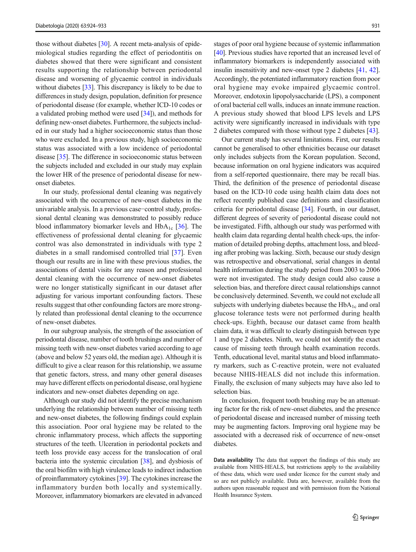those without diabetes [\[30\]](#page-8-0). A recent meta-analysis of epidemiological studies regarding the effect of periodontitis on diabetes showed that there were significant and consistent results supporting the relationship between periodontal disease and worsening of glycaemic control in individuals without diabetes [\[33\]](#page-9-0). This discrepancy is likely to be due to differences in study design, population, definition for presence of periodontal disease (for example, whether ICD-10 codes or a validated probing method were used [[34\]](#page-9-0)), and methods for defining new-onset diabetes. Furthermore, the subjects included in our study had a higher socioeconomic status than those who were excluded. In a previous study, high socioeconomic status was associated with a low incidence of periodontal disease [[35](#page-9-0)]. The difference in socioeconomic status between the subjects included and excluded in our study may explain the lower HR of the presence of periodontal disease for newonset diabetes.

In our study, professional dental cleaning was negatively associated with the occurrence of new-onset diabetes in the univariable analysis. In a previous case−control study, professional dental cleaning was demonstrated to possibly reduce blood inflammatory biomarker levels and  $HbA_{1c}$  [[36\]](#page-9-0). The effectiveness of professional dental cleaning for glycaemic control was also demonstrated in individuals with type 2 diabetes in a small randomised controlled trial [\[37](#page-9-0)]. Even though our results are in line with these previous studies, the associations of dental visits for any reason and professional dental cleaning with the occurrence of new-onset diabetes were no longer statistically significant in our dataset after adjusting for various important confounding factors. These results suggest that other confounding factors are more strongly related than professional dental cleaning to the occurrence of new-onset diabetes.

In our subgroup analysis, the strength of the association of periodontal disease, number of tooth brushings and number of missing teeth with new-onset diabetes varied according to age (above and below 52 years old, the median age). Although it is difficult to give a clear reason for this relationship, we assume that genetic factors, stress, and many other general diseases may have different effects on periodontal disease, oral hygiene indicators and new-onset diabetes depending on age.

Although our study did not identify the precise mechanism underlying the relationship between number of missing teeth and new-onset diabetes, the following findings could explain this association. Poor oral hygiene may be related to the chronic inflammatory process, which affects the supporting structures of the teeth. Ulceration in periodontal pockets and teeth loss provide easy access for the translocation of oral bacteria into the systemic circulation [\[38](#page-9-0)], and dysbiosis of the oral biofilm with high virulence leads to indirect induction of proinflammatory cytokines [\[39](#page-9-0)]. The cytokines increase the inflammatory burden both locally and systemically. Moreover, inflammatory biomarkers are elevated in advanced

stages of poor oral hygiene because of systemic inflammation [\[40](#page-9-0)]. Previous studies have reported that an increased level of inflammatory biomarkers is independently associated with insulin insensitivity and new-onset type 2 diabetes [\[41](#page-9-0), [42\]](#page-9-0). Accordingly, the potentiated inflammatory reaction from poor oral hygiene may evoke impaired glycaemic control. Moreover, endotoxin lipopolysaccharide (LPS), a component of oral bacterial cell walls, induces an innate immune reaction. A previous study showed that blood LPS levels and LPS activity were significantly increased in individuals with type 2 diabetes compared with those without type 2 diabetes [\[43](#page-9-0)].

Our current study has several limitations. First, our results cannot be generalised to other ethnicities because our dataset only includes subjects from the Korean population. Second, because information on oral hygiene indicators was acquired from a self-reported questionnaire, there may be recall bias. Third, the definition of the presence of periodontal disease based on the ICD-10 code using health claim data does not reflect recently published case definitions and classification criteria for periodontal disease [\[34](#page-9-0)]. Fourth, in our dataset, different degrees of severity of periodontal disease could not be investigated. Fifth, although our study was performed with health claim data regarding dental health check-ups, the information of detailed probing depths, attachment loss, and bleeding after probing was lacking. Sixth, because our study design was retrospective and observational, serial changes in dental health information during the study period from 2003 to 2006 were not investigated. The study design could also cause a selection bias, and therefore direct causal relationships cannot be conclusively determined. Seventh, we could not exclude all subjects with underlying diabetes because the  $HbA_{1c}$  and oral glucose tolerance tests were not performed during health check-ups. Eighth, because our dataset came from health claim data, it was difficult to clearly distinguish between type 1 and type 2 diabetes. Ninth, we could not identify the exact cause of missing teeth through health examination records. Tenth, educational level, marital status and blood inflammatory markers, such as C-reactive protein, were not evaluated because NHIS-HEALS did not include this information. Finally, the exclusion of many subjects may have also led to selection bias.

In conclusion, frequent tooth brushing may be an attenuating factor for the risk of new-onset diabetes, and the presence of periodontal disease and increased number of missing teeth may be augmenting factors. Improving oral hygiene may be associated with a decreased risk of occurrence of new-onset diabetes.

Data availability The data that support the findings of this study are available from NHIS-HEALS, but restrictions apply to the availability of these data, which were used under licence for the current study and so are not publicly available. Data are, however, available from the authors upon reasonable request and with permission from the National Health Insurance System.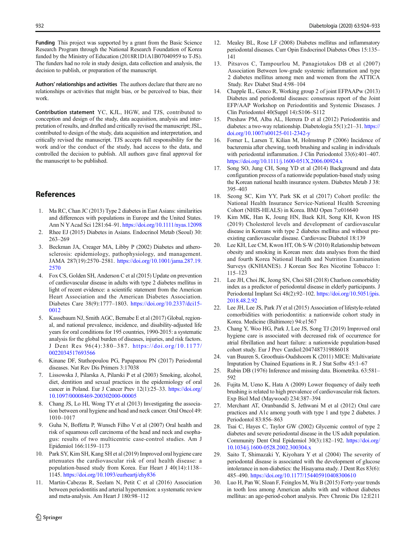<span id="page-8-0"></span>Funding This project was supported by a grant from the Basic Science Research Program through the National Research Foundation of Korea funded by the Ministry of Education (2018R1D1A1B07040959 to T-JS). The funders had no role in study design, data collection and analysis, the decision to publish, or preparation of the manuscript.

Authors' relationships and activities The authors declare that there are no relationships or activities that might bias, or be perceived to bias, their work.

Contribution statement YC, KJL, HGW, and TJS, contributed to conception and design of the study, data acquisition, analysis and interpretation of results, and drafted and critically revised the manuscript; JSL, contributed to design of the study, data acquisition and interpretation, and critically revised the manuscript. TJS accepts full responsibility for the work and/or the conduct of the study, had access to the data, and controlled the decision to publish. All authors gave final approval for the manuscript to be published.

# References

- 1. Ma RC, Chan JC (2013) Type 2 diabetes in East Asians: similarities and differences with populations in Europe and the United States. Ann N YAcad Sci 1281:64–91. <https://doi.org/10.1111/nyas.12098>
- 2. Rhee EJ (2015) Diabetes in Asians. Endocrinol Metab (Seoul) 30: 263–269
- 3. Beckman JA, Creager MA, Libby P (2002) Diabetes and atherosclerosis: epidemiology, pathophysiology, and management. JAMA 287(19):2570–2581. [https://doi.org/10.1001/jama.287.19.](https://doi.org/10.1001/jama.287.19.2570) [2570](https://doi.org/10.1001/jama.287.19.2570)
- 4. Fox CS, Golden SH, Anderson C et al (2015) Update on prevention of cardiovascular disease in adults with type 2 diabetes mellitus in light of recent evidence: a scientific statement from the American Heart Association and the American Diabetes Association. Diabetes Care 38(9):1777–1803. [https://doi.org/10.2337/dci15-](https://doi.org/10.2337/dci15-0012) [0012](https://doi.org/10.2337/dci15-0012)
- 5. Kassebaum NJ, Smith AGC, Bernabe E et al (2017) Global, regional, and national prevalence, incidence, and disability-adjusted life years for oral conditions for 195 countries, 1990-2015: a systematic analysis for the global burden of diseases, injuries, and risk factors. J Dent Res 96(4):380–387. [https://doi.org/10.1177/](https://doi.org/10.1177/0022034517693566) [0022034517693566](https://doi.org/10.1177/0022034517693566)
- 6. Kinane DF, Stathopoulou PG, Papapanou PN (2017) Periodontal diseases. Nat Rev Dis Primers 3:17038
- 7. Lissowska J, Pilarska A, Pilarski P et al (2003) Smoking, alcohol, diet, dentition and sexual practices in the epidemiology of oral cancer in Poland. Eur J Cancer Prev 12(1):25–33. [https://doi.org/](https://doi.org/10.1097/00008469-200302000-00005) [10.1097/00008469-200302000-00005](https://doi.org/10.1097/00008469-200302000-00005)
- 8. Chang JS, Lo HI, Wong TY et al (2013) Investigating the association between oral hygiene and head and neck cancer. Oral Oncol 49: 1010–1017
- 9. Guha N, Boffetta P, Wunsch Filho V et al (2007) Oral health and risk of squamous cell carcinoma of the head and neck and esophagus: results of two multicentric case-control studies. Am J Epidemiol 166:1159–1173
- 10. Park SY, Kim SH, Kang SH et al (2019) Improved oral hygiene care attenuates the cardiovascular risk of oral health disease: a population-based study from Korea. Eur Heart J 40(14):1138– 1145. <https://doi.org/10.1093/eurheartj/ehy836>
- 11. Martin-Cabezas R, Seelam N, Petit C et al (2016) Association between periodontitis and arterial hypertension: a systematic review and meta-analysis. Am Heart J 180:98–112
- 12. Mealey BL, Rose LF (2008) Diabetes mellitus and inflammatory periodontal diseases. Curr Opin Endocrinol Diabetes Obes 15:135– 141
- 13. Pitsavos C, Tampourlou M, Panagiotakos DB et al (2007) Association Between low-grade systemic inflammation and type 2 diabetes mellitus among men and women from the ATTICA Study. Rev Diabet Stud 4:98–104
- 14. Chapple IL, Genco R, Working group 2 of joint EFPAAPw (2013) Diabetes and periodontal diseases: consensus report of the Joint EFP/AAP Workshop on Periodontitis and Systemic Diseases. J Clin Periodontol 40(Suppl 14):S106–S112
- 15. Preshaw PM, Alba AL, Herrera D et al (2012) Periodontitis and diabetes: a two-way relationship. Diabetologia 55(1):21–31. [https://](https://doi.org/10.1007/s00125-011-2342-y) [doi.org/10.1007/s00125-011-2342-y](https://doi.org/10.1007/s00125-011-2342-y)
- 16. Forner L, Larsen T, Kilian M, Holmstrup P (2006) Incidence of bacteremia after chewing, tooth brushing and scaling in individuals with periodontal inflammation. J Clin Periodontol 33(6):401–407. <https://doi.org/10.1111/j.1600-051X.2006.00924.x>
- 17. Song SO, Jung CH, Song YD et al (2014) Background and data configuration process of a nationwide population-based study using the Korean national health insurance system. Diabetes Metab J 38: 395–403
- 18. Seong SC, Kim YY, Park SK et al (2017) Cohort profile: the National Health Insurance Service-National Health Screening Cohort (NHIS-HEALS) in Korea. BMJ Open 7:e016640
- 19. Kim MK, Han K, Joung HN, Baek KH, Song KH, Kwon HS (2019) Cholesterol levels and development of cardiovascular disease in Koreans with type 2 diabetes mellitus and without preexisting cardiovascular disease. Cardiovasc Diabetol 18:139
- 20. Lee KH, Lee CM, Kwon HT, Oh S-W (2010) Relationship between obesity and smoking in Korean men: data analyses from the third and fourth Korea National Health and Nutrition Examination Surveys (KNHANES). J Korean Soc Res Nicotine Tobacco 1: 115–123
- 21. Lee JH, Choi JK, Jeong SN, Choi SH (2018) Charlson comorbidity index as a predictor of periodontal disease in elderly participants. J Periodontal Implant Sci 48(2):92–102. [https://doi.org/10.5051/jpis.](https://doi.org/10.5051/jpis.2018.48.2.92) [2018.48.2.92](https://doi.org/10.5051/jpis.2018.48.2.92)
- 22. Lee JH, Lee JS, Park JYet al (2015) Association of lifestyle-related comorbidities with periodontitis: a nationwide cohort study in Korea. Medicine (Baltimore) 94:e1567
- 23. Chang Y, Woo HG, Park J, Lee JS, Song TJ (2019) Improved oral hygiene care is associated with decreased risk of occurrence for atrial fibrillation and heart failure: a nationwide population-based cohort study. Eur J Prev Cardiol:2047487319886018
- van Buuren S, Groothuis-Oudshoorn K (2011) MICE: Multivariate Imputation by Chained Equations in R. J Stat Softw 45:1–67
- 25. Rubin DB (1976) Inference and missing data. Biometrika. 63:581– 592
- 26. Fujita M, Ueno K, Hata A (2009) Lower frequency of daily teeth brushing is related to high prevalence of cardiovascular risk factors. Exp Biol Med (Maywood) 234:387–394
- 27. Merchant AT, Oranbandid S, Jethwani M et al (2012) Oral care practices and A1c among youth with type 1 and type 2 diabetes. J Periodontol 83:856–863
- 28. Tsai C, Hayes C, Taylor GW (2002) Glycemic control of type 2 diabetes and severe periodontal disease in the US adult population. Community Dent Oral Epidemiol 30(3):182–192. [https://doi.org/](https://doi.org/10.1034/j.1600-0528.2002.300304.x) [10.1034/j.1600-0528.2002.300304.x](https://doi.org/10.1034/j.1600-0528.2002.300304.x)
- 29. Saito T, Shimazaki Y, Kiyohara Y et al (2004) The severity of periodontal disease is associated with the development of glucose intolerance in non-diabetics: the Hisayama study. J Dent Res 83(6): 485–490. <https://doi.org/10.1177/154405910408300610>
- 30. Luo H, Pan W, Sloan F, Feinglos M, Wu B (2015) Forty-year trends in tooth loss among American adults with and without diabetes mellitus: an age-period-cohort analysis. Prev Chronic Dis 12:E211